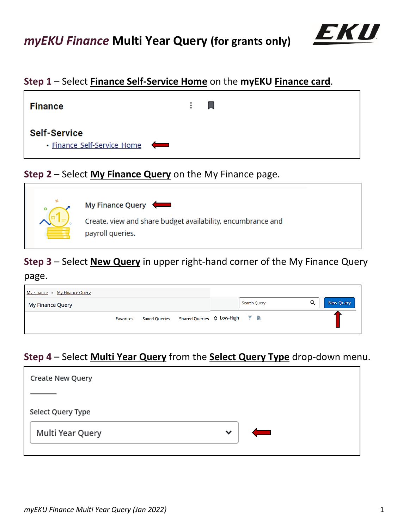

## **Step 1** – Select **Finance Self-Service Home** on the **myEKU Finance card**.



## **Step 2** – Select **My Finance Query** on the My Finance page.



# **Step 3** – Select **New Query** in upper right-hand corner of the My Finance Query

### page.

| My Finance • My Finance Query |                  |                                                           |              |   |           |
|-------------------------------|------------------|-----------------------------------------------------------|--------------|---|-----------|
| My Finance Query              |                  |                                                           | Search Query | Q | New Query |
|                               | <b>Favorites</b> | Saved Queries Shared Queries $\Diamond$ Low-High $\Box$ a |              |   |           |

# **Step 4** – Select **Multi Year Query** from the **Select Query Type** drop-down menu.

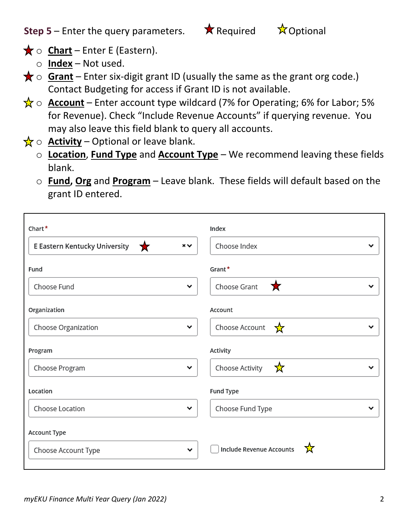**Step 5** – Enter the query parameters.  $\star$  Required  $\star$  Optional

- $\bigstar$  o **Chart** Enter E (Eastern).
	- o **Index** Not used.
- $\bigstar$   $\circ$  **Grant** Enter six-digit grant ID (usually the same as the grant org code.) Contact Budgeting for access if Grant ID is not available.
- $\frac{1}{N}$   $\circ$  **Account** Enter account type wildcard (7% for Operating; 6% for Labor; 5% for Revenue). Check "Include Revenue Accounts" if querying revenue. You may also leave this field blank to query all accounts.
- $\frac{1}{X}$  o **Activity** Optional or leave blank.
	- o **Location**, **Fund Type** and **Account Type** We recommend leaving these fields blank.
	- o **Fund, Org** and **Program** Leave blank. These fields will default based on the grant ID entered.

| Chart*                                                  | Index                                |  |
|---------------------------------------------------------|--------------------------------------|--|
| E Eastern Kentucky University<br>$\times$ $\times$<br>★ | Choose Index                         |  |
| Fund                                                    | Grant*                               |  |
| Choose Fund                                             | Choose Grant<br>大<br>$\check{ }$     |  |
| Organization                                            | Account                              |  |
| Choose Organization                                     | Choose Account<br>☆<br>$\check{ }$   |  |
| Program                                                 | Activity                             |  |
|                                                         |                                      |  |
| Choose Program                                          | ☆<br>Choose Activity<br>$\checkmark$ |  |
| Location                                                | Fund Type                            |  |
| Choose Location                                         | Choose Fund Type<br>$\checkmark$     |  |
| Account Type                                            |                                      |  |
| Choose Account Type                                     | Include Revenue Accounts<br><br>◡    |  |